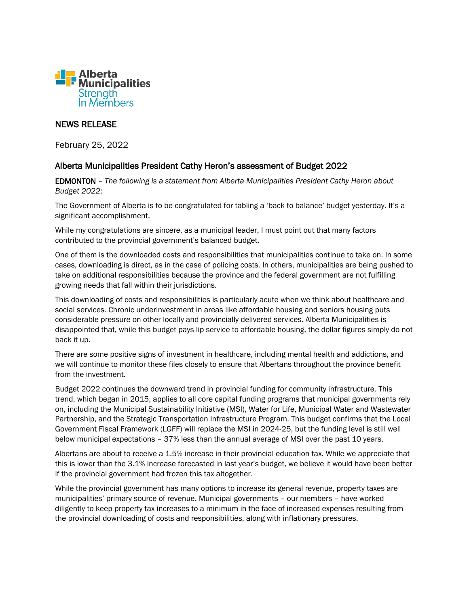

## NEWS RELEASE

February 25, 2022

## Alberta Municipalities President Cathy Heron's assessment of Budget 2022

EDMONTON – *The following is a statement from Alberta Municipalities President Cathy Heron about Budget 2022*:

The Government of Alberta is to be congratulated for tabling a 'back to balance' budget yesterday. It's a significant accomplishment.

While my congratulations are sincere, as a municipal leader, I must point out that many factors contributed to the provincial government's balanced budget.

One of them is the downloaded costs and responsibilities that municipalities continue to take on. In some cases, downloading is direct, as in the case of policing costs. In others, municipalities are being pushed to take on additional responsibilities because the province and the federal government are not fulfilling growing needs that fall within their jurisdictions.

This downloading of costs and responsibilities is particularly acute when we think about healthcare and social services. Chronic underinvestment in areas like affordable housing and seniors housing puts considerable pressure on other locally and provincially delivered services. Alberta Municipalities is disappointed that, while this budget pays lip service to affordable housing, the dollar figures simply do not back it up.

There are some positive signs of investment in healthcare, including mental health and addictions, and we will continue to monitor these files closely to ensure that Albertans throughout the province benefit from the investment.

Budget 2022 continues the downward trend in provincial funding for community infrastructure. This trend, which began in 2015, applies to all core capital funding programs that municipal governments rely on, including the Municipal Sustainability Initiative (MSI), Water for Life, Municipal Water and Wastewater Partnership, and the Strategic Transportation Infrastructure Program. This budget confirms that the Local Government Fiscal Framework (LGFF) will replace the MSI in 2024-25, but the funding level is still well below municipal expectations – 37% less than the annual average of MSI over the past 10 years.

Albertans are about to receive a 1.5% increase in their provincial education tax. While we appreciate that this is lower than the 3.1% increase forecasted in last year's budget, we believe it would have been better if the provincial government had frozen this tax altogether.

While the provincial government has many options to increase its general revenue, property taxes are municipalities' primary source of revenue. Municipal governments – our members – have worked diligently to keep property tax increases to a minimum in the face of increased expenses resulting from the provincial downloading of costs and responsibilities, along with inflationary pressures.